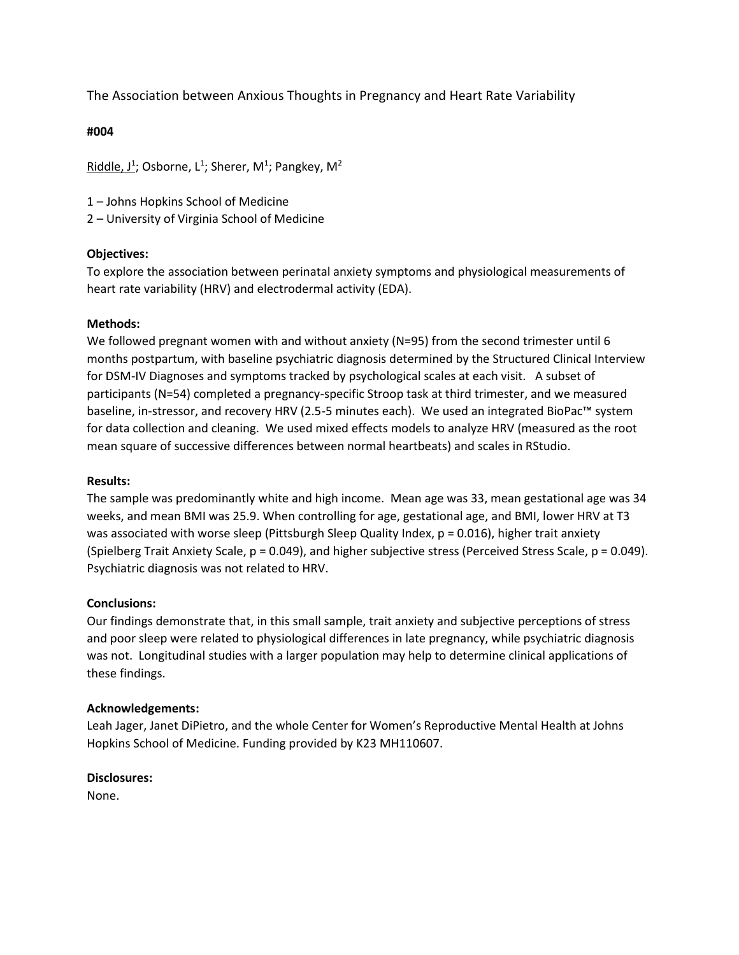# The Association between Anxious Thoughts in Pregnancy and Heart Rate Variability

### **#004**

 $\mathsf{Riddle}, \mathsf{J}^1$ ; Osborne, L<sup>1</sup>; Sherer, M<sup>1</sup>; Pangkey, M<sup>2</sup>

1 – Johns Hopkins School of Medicine

2 – University of Virginia School of Medicine

### **Objectives:**

To explore the association between perinatal anxiety symptoms and physiological measurements of heart rate variability (HRV) and electrodermal activity (EDA).

### **Methods:**

We followed pregnant women with and without anxiety ( $N=95$ ) from the second trimester until 6 months postpartum, with baseline psychiatric diagnosis determined by the Structured Clinical Interview for DSM-IV Diagnoses and symptoms tracked by psychological scales at each visit. A subset of participants (N=54) completed a pregnancy-specific Stroop task at third trimester, and we measured baseline, in-stressor, and recovery HRV (2.5-5 minutes each). We used an integrated BioPac™ system for data collection and cleaning. We used mixed effects models to analyze HRV (measured as the root mean square of successive differences between normal heartbeats) and scales in RStudio.

### **Results:**

The sample was predominantly white and high income. Mean age was 33, mean gestational age was 34 weeks, and mean BMI was 25.9. When controlling for age, gestational age, and BMI, lower HRV at T3 was associated with worse sleep (Pittsburgh Sleep Quality Index, p = 0.016), higher trait anxiety (Spielberg Trait Anxiety Scale, p = 0.049), and higher subjective stress (Perceived Stress Scale, p = 0.049). Psychiatric diagnosis was not related to HRV.

### **Conclusions:**

Our findings demonstrate that, in this small sample, trait anxiety and subjective perceptions of stress and poor sleep were related to physiological differences in late pregnancy, while psychiatric diagnosis was not. Longitudinal studies with a larger population may help to determine clinical applications of these findings.

### **Acknowledgements:**

Leah Jager, Janet DiPietro, and the whole Center for Women's Reproductive Mental Health at Johns Hopkins School of Medicine. Funding provided by K23 MH110607.

### **Disclosures:**

None.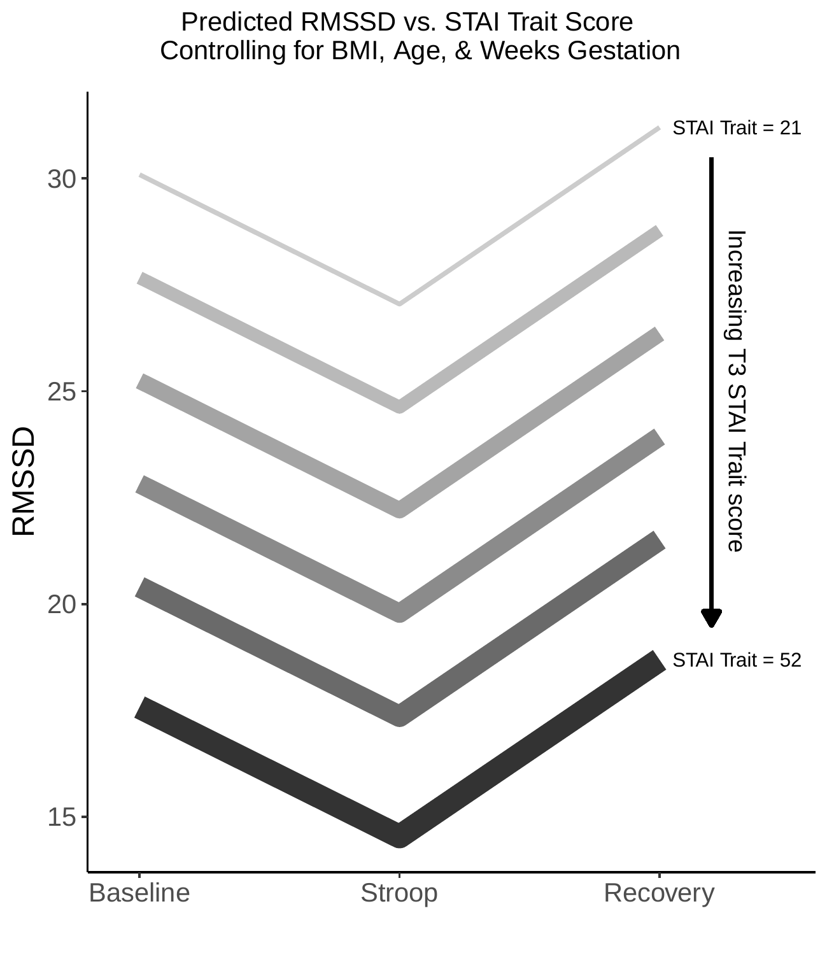

Predicted RMSSD vs. STAI Trait Score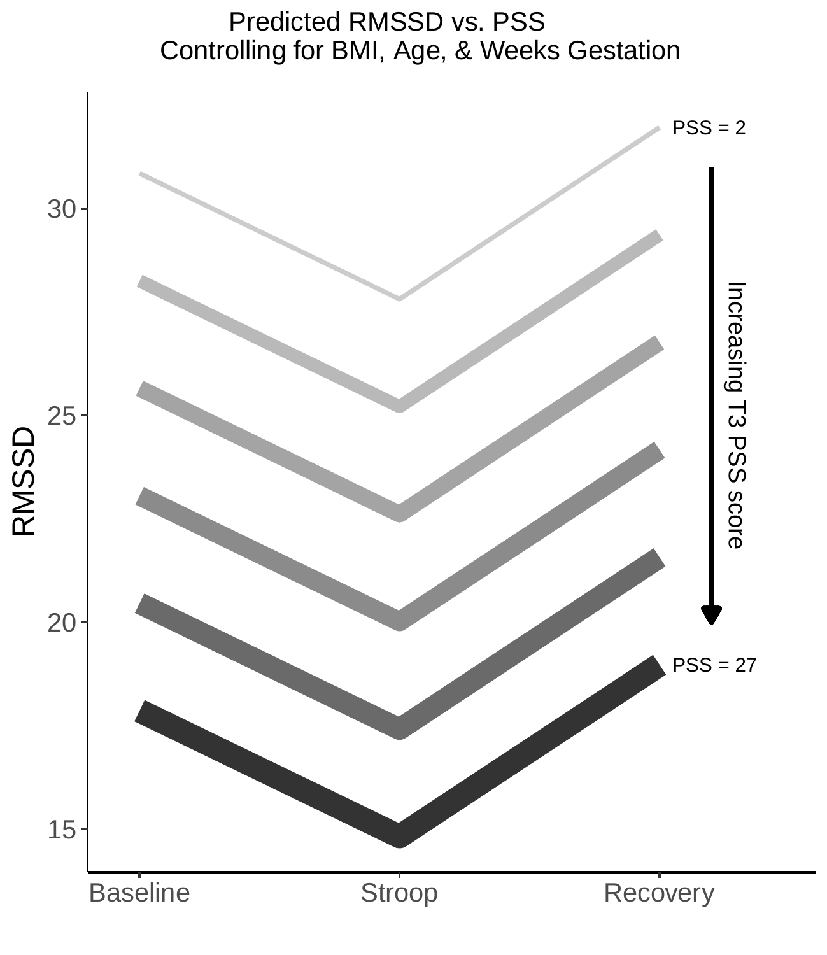